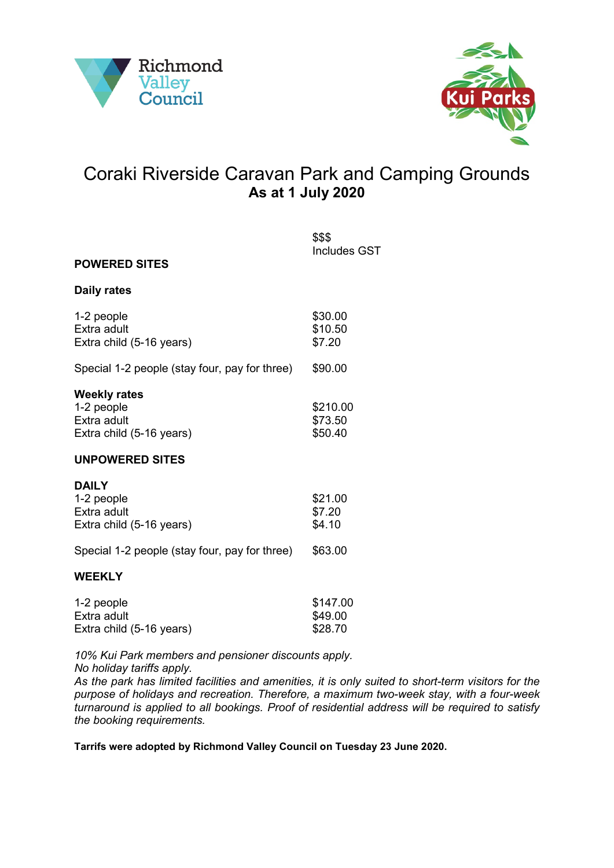



## Coraki Riverside Caravan Park and Camping Grounds **As at 1 July 2020**

| <b>POWERED SITES</b>                                                                                     | \$\$\$<br><b>Includes GST</b>  |
|----------------------------------------------------------------------------------------------------------|--------------------------------|
|                                                                                                          |                                |
| <b>Daily rates</b>                                                                                       |                                |
| 1-2 people<br>Extra adult<br>Extra child (5-16 years)                                                    | \$30.00<br>\$10.50<br>\$7.20   |
| Special 1-2 people (stay four, pay for three)                                                            | \$90.00                        |
| <b>Weekly rates</b><br>1-2 people<br>Extra adult<br>Extra child (5-16 years)                             | \$210.00<br>\$73.50<br>\$50.40 |
| <b>UNPOWERED SITES</b>                                                                                   |                                |
| <b>DAILY</b><br>1-2 people<br>Extra adult<br>Extra child (5-16 years)                                    | \$21.00<br>\$7.20<br>\$4.10    |
| Special 1-2 people (stay four, pay for three)                                                            | \$63.00                        |
| <b>WEEKLY</b>                                                                                            |                                |
| $\overline{A}$ $\overline{A}$ $\overline{A}$ $\overline{A}$ $\overline{A}$ $\overline{A}$ $\overline{A}$ | 0.41700                        |

| 1-2 people               | \$147.00 |
|--------------------------|----------|
| Extra adult              | \$49.00  |
| Extra child (5-16 years) | \$28.70  |

*10% Kui Park members and pensioner discounts apply.*

*No holiday tariffs apply.*

*As the park has limited facilities and amenities, it is only suited to short-term visitors for the purpose of holidays and recreation. Therefore, a maximum two-week stay, with a four-week turnaround is applied to all bookings. Proof of residential address will be required to satisfy the booking requirements.*

**Tarrifs were adopted by Richmond Valley Council on Tuesday 23 June 2020.**